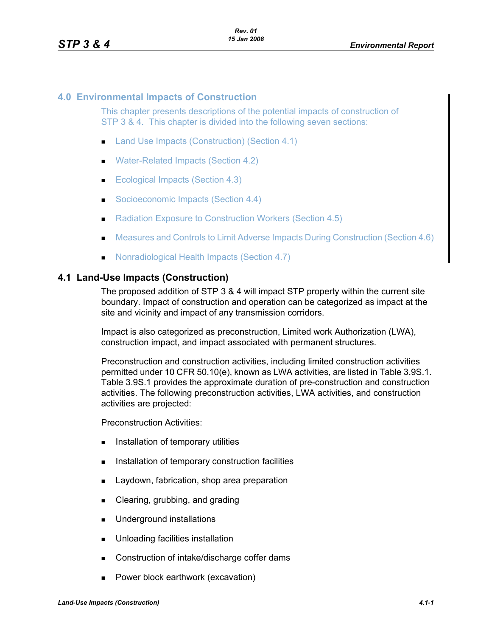## **4.0 Environmental Impacts of Construction**

This chapter presents descriptions of the potential impacts of construction of STP 3 & 4. This chapter is divided into the following seven sections:

- Land Use Impacts (Construction) (Section 4.1)
- Water-Related Impacts (Section 4.2)
- Ecological Impacts (Section 4.3)
- Socioeconomic Impacts (Section 4.4)
- Radiation Exposure to Construction Workers (Section 4.5)
- **Measures and Controls to Limit Adverse Impacts During Construction (Section 4.6)**
- **Nonradiological Health Impacts (Section 4.7)**

### **4.1 Land-Use Impacts (Construction)**

The proposed addition of STP 3 & 4 will impact STP property within the current site boundary. Impact of construction and operation can be categorized as impact at the site and vicinity and impact of any transmission corridors.

Impact is also categorized as preconstruction, Limited work Authorization (LWA), construction impact, and impact associated with permanent structures.

Preconstruction and construction activities, including limited construction activities permitted under 10 CFR 50.10(e), known as LWA activities, are listed in Table 3.9S.1. Table 3.9S.1 provides the approximate duration of pre-construction and construction activities. The following preconstruction activities, LWA activities, and construction activities are projected:

Preconstruction Activities:

- **Installation of temporary utilities**
- **Installation of temporary construction facilities**
- **Laydown, fabrication, shop area preparation**
- **Example 2** Clearing, grubbing, and grading
- **Underground installations**
- **Unloading facilities installation**
- Construction of intake/discharge coffer dams
- **Power block earthwork (excavation)**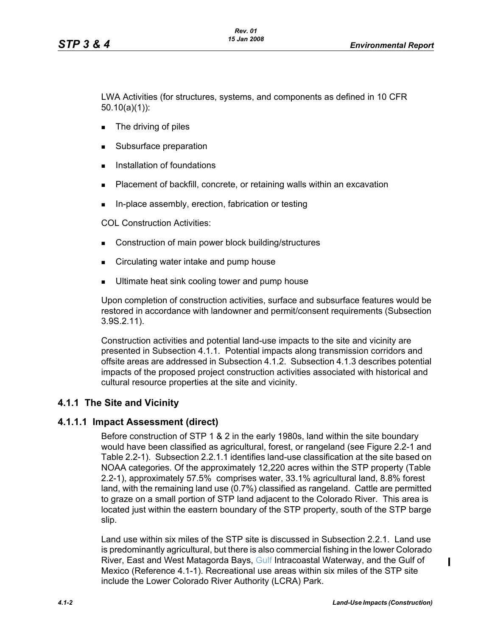LWA Activities (for structures, systems, and components as defined in 10 CFR 50.10(a)(1)):

- **The driving of piles**
- Subsurface preparation
- **Installation of foundations**
- **Placement of backfill, concrete, or retaining walls within an excavation**
- In-place assembly, erection, fabrication or testing

COL Construction Activities:

- **Construction of main power block building/structures**
- Circulating water intake and pump house
- **Ultimate heat sink cooling tower and pump house**

Upon completion of construction activities, surface and subsurface features would be restored in accordance with landowner and permit/consent requirements (Subsection 3.9S.2.11).

Construction activities and potential land-use impacts to the site and vicinity are presented in Subsection 4.1.1. Potential impacts along transmission corridors and offsite areas are addressed in Subsection 4.1.2. Subsection 4.1.3 describes potential impacts of the proposed project construction activities associated with historical and cultural resource properties at the site and vicinity.

# **4.1.1 The Site and Vicinity**

# **4.1.1.1 Impact Assessment (direct)**

Before construction of STP 1 & 2 in the early 1980s, land within the site boundary would have been classified as agricultural, forest, or rangeland (see Figure 2.2-1 and Table 2.2-1). Subsection 2.2.1.1 identifies land-use classification at the site based on NOAA categories. Of the approximately 12,220 acres within the STP property (Table 2.2-1), approximately 57.5% comprises water, 33.1% agricultural land, 8.8% forest land, with the remaining land use (0.7%) classified as rangeland. Cattle are permitted to graze on a small portion of STP land adjacent to the Colorado River. This area is located iust within the eastern boundary of the STP property, south of the STP barge slip.

Land use within six miles of the STP site is discussed in Subsection 2.2.1. Land use is predominantly agricultural, but there is also commercial fishing in the lower Colorado River, East and West Matagorda Bays, Gulf Intracoastal Waterway, and the Gulf of Mexico (Reference 4.1-1). Recreational use areas within six miles of the STP site include the Lower Colorado River Authority (LCRA) Park.

 $\mathbf I$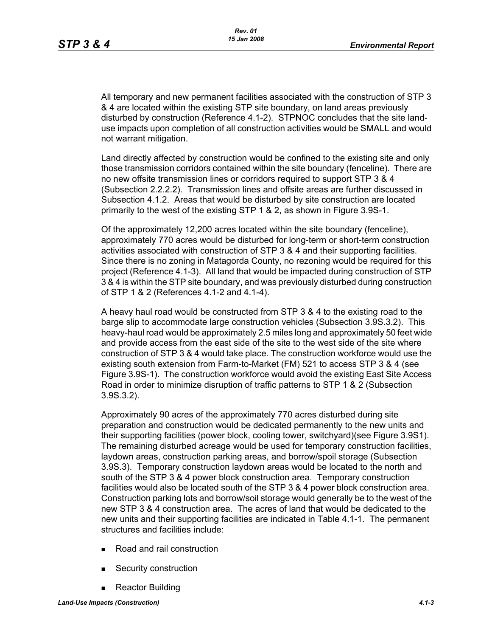All temporary and new permanent facilities associated with the construction of STP 3 & 4 are located within the existing STP site boundary, on land areas previously disturbed by construction (Reference 4.1-2). STPNOC concludes that the site landuse impacts upon completion of all construction activities would be SMALL and would not warrant mitigation.

Land directly affected by construction would be confined to the existing site and only those transmission corridors contained within the site boundary (fenceline). There are no new offsite transmission lines or corridors required to support STP 3 & 4 (Subsection 2.2.2.2). Transmission lines and offsite areas are further discussed in Subsection 4.1.2. Areas that would be disturbed by site construction are located primarily to the west of the existing STP 1 & 2, as shown in Figure 3.9S-1.

Of the approximately 12,200 acres located within the site boundary (fenceline), approximately 770 acres would be disturbed for long-term or short-term construction activities associated with construction of STP 3 & 4 and their supporting facilities. Since there is no zoning in Matagorda County, no rezoning would be required for this project (Reference 4.1-3). All land that would be impacted during construction of STP 3 & 4 is within the STP site boundary, and was previously disturbed during construction of STP 1 & 2 (References 4.1-2 and 4.1-4).

A heavy haul road would be constructed from STP 3 & 4 to the existing road to the barge slip to accommodate large construction vehicles (Subsection 3.9S.3.2). This heavy-haul road would be approximately 2.5 miles long and approximately 50 feet wide and provide access from the east side of the site to the west side of the site where construction of STP 3 & 4 would take place. The construction workforce would use the existing south extension from Farm-to-Market (FM) 521 to access STP 3 & 4 (see Figure 3.9S-1). The construction workforce would avoid the existing East Site Access Road in order to minimize disruption of traffic patterns to STP 1 & 2 (Subsection 3.9S.3.2).

Approximately 90 acres of the approximately 770 acres disturbed during site preparation and construction would be dedicated permanently to the new units and their supporting facilities (power block, cooling tower, switchyard)(see Figure 3.9S1). The remaining disturbed acreage would be used for temporary construction facilities, laydown areas, construction parking areas, and borrow/spoil storage (Subsection 3.9S.3). Temporary construction laydown areas would be located to the north and south of the STP 3 & 4 power block construction area. Temporary construction facilities would also be located south of the STP 3 & 4 power block construction area. Construction parking lots and borrow/soil storage would generally be to the west of the new STP 3 & 4 construction area. The acres of land that would be dedicated to the new units and their supporting facilities are indicated in Table 4.1-1. The permanent structures and facilities include:

- Road and rail construction
- Security construction
- Reactor Building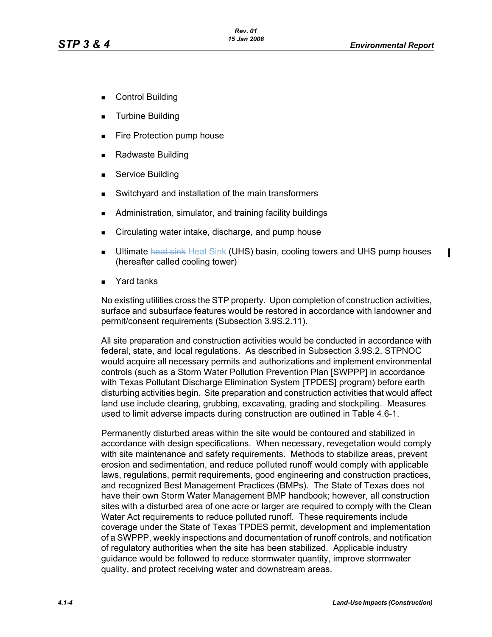$\mathbf I$ 

- Control Building
- **Turbine Building**
- **Fire Protection pump house**
- Radwaste Building
- **Service Building**
- Switchyard and installation of the main transformers
- **Administration, simulator, and training facility buildings**
- **EXECT** Circulating water intake, discharge, and pump house
- **Ultimate heat sink Heat Sink (UHS) basin, cooling towers and UHS pump houses** (hereafter called cooling tower)
- Yard tanks

No existing utilities cross the STP property. Upon completion of construction activities, surface and subsurface features would be restored in accordance with landowner and permit/consent requirements (Subsection 3.9S.2.11).

All site preparation and construction activities would be conducted in accordance with federal, state, and local regulations. As described in Subsection 3.9S.2, STPNOC would acquire all necessary permits and authorizations and implement environmental controls (such as a Storm Water Pollution Prevention Plan [SWPPP] in accordance with Texas Pollutant Discharge Elimination System [TPDES] program) before earth disturbing activities begin. Site preparation and construction activities that would affect land use include clearing, grubbing, excavating, grading and stockpiling. Measures used to limit adverse impacts during construction are outlined in Table 4.6-1.

Permanently disturbed areas within the site would be contoured and stabilized in accordance with design specifications. When necessary, revegetation would comply with site maintenance and safety requirements. Methods to stabilize areas, prevent erosion and sedimentation, and reduce polluted runoff would comply with applicable laws, regulations, permit requirements, good engineering and construction practices, and recognized Best Management Practices (BMPs). The State of Texas does not have their own Storm Water Management BMP handbook; however, all construction sites with a disturbed area of one acre or larger are required to comply with the Clean Water Act requirements to reduce polluted runoff. These requirements include coverage under the State of Texas TPDES permit, development and implementation of a SWPPP, weekly inspections and documentation of runoff controls, and notification of regulatory authorities when the site has been stabilized. Applicable industry guidance would be followed to reduce stormwater quantity, improve stormwater quality, and protect receiving water and downstream areas.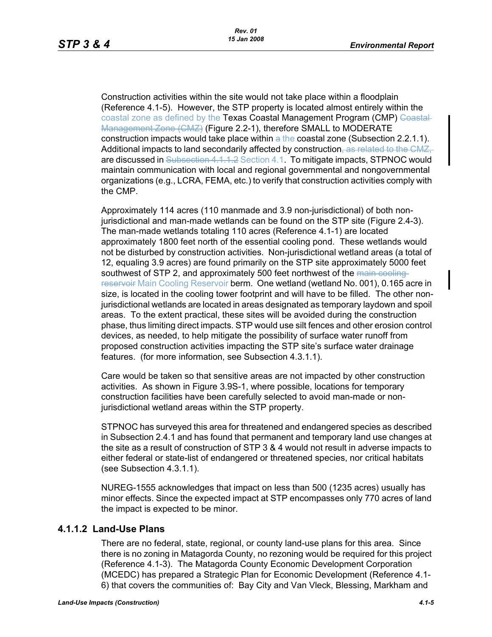Construction activities within the site would not take place within a floodplain (Reference 4.1-5). However, the STP property is located almost entirely within the coastal zone as defined by the Texas Coastal Management Program (CMP) Coastal-Management Zone (CMZ) (Figure 2.2-1), therefore SMALL to MODERATE construction impacts would take place within a the coastal zone (Subsection 2.2.1.1). Additional impacts to land secondarily affected by construction, as related to the CMZ, are discussed in Subsection 4.1.1.2 Section 4.1. To mitigate impacts, STPNOC would maintain communication with local and regional governmental and nongovernmental organizations (e.g., LCRA, FEMA, etc.) to verify that construction activities comply with the CMP.

Approximately 114 acres (110 manmade and 3.9 non-jurisdictional) of both nonjurisdictional and man-made wetlands can be found on the STP site (Figure 2.4-3). The man-made wetlands totaling 110 acres (Reference 4.1-1) are located approximately 1800 feet north of the essential cooling pond. These wetlands would not be disturbed by construction activities. Non-jurisdictional wetland areas (a total of 12, equaling 3.9 acres) are found primarily on the STP site approximately 5000 feet southwest of STP 2, and approximately 500 feet northwest of the main coolingreservoir Main Cooling Reservoir berm. One wetland (wetland No. 001), 0.165 acre in size, is located in the cooling tower footprint and will have to be filled. The other nonjurisdictional wetlands are located in areas designated as temporary laydown and spoil areas. To the extent practical, these sites will be avoided during the construction phase, thus limiting direct impacts. STP would use silt fences and other erosion control devices, as needed, to help mitigate the possibility of surface water runoff from proposed construction activities impacting the STP site's surface water drainage features. (for more information, see Subsection 4.3.1.1).

Care would be taken so that sensitive areas are not impacted by other construction activities. As shown in Figure 3.9S-1, where possible, locations for temporary construction facilities have been carefully selected to avoid man-made or nonjurisdictional wetland areas within the STP property.

STPNOC has surveyed this area for threatened and endangered species as described in Subsection 2.4.1 and has found that permanent and temporary land use changes at the site as a result of construction of STP 3 & 4 would not result in adverse impacts to either federal or state-list of endangered or threatened species, nor critical habitats (see Subsection 4.3.1.1).

NUREG-1555 acknowledges that impact on less than 500 (1235 acres) usually has minor effects. Since the expected impact at STP encompasses only 770 acres of land the impact is expected to be minor.

### **4.1.1.2 Land-Use Plans**

There are no federal, state, regional, or county land-use plans for this area. Since there is no zoning in Matagorda County, no rezoning would be required for this project (Reference 4.1-3). The Matagorda County Economic Development Corporation (MCEDC) has prepared a Strategic Plan for Economic Development (Reference 4.1- 6) that covers the communities of: Bay City and Van Vleck, Blessing, Markham and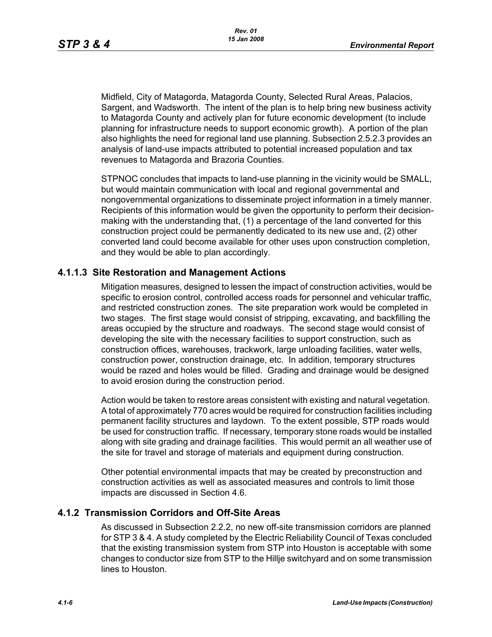Midfield, City of Matagorda, Matagorda County, Selected Rural Areas, Palacios, Sargent, and Wadsworth. The intent of the plan is to help bring new business activity to Matagorda County and actively plan for future economic development (to include planning for infrastructure needs to support economic growth). A portion of the plan also highlights the need for regional land use planning. Subsection 2.5.2.3 provides an analysis of land-use impacts attributed to potential increased population and tax revenues to Matagorda and Brazoria Counties.

STPNOC concludes that impacts to land-use planning in the vicinity would be SMALL, but would maintain communication with local and regional governmental and nongovernmental organizations to disseminate project information in a timely manner. Recipients of this information would be given the opportunity to perform their decisionmaking with the understanding that, (1) a percentage of the land converted for this construction project could be permanently dedicated to its new use and, (2) other converted land could become available for other uses upon construction completion, and they would be able to plan accordingly.

## **4.1.1.3 Site Restoration and Management Actions**

Mitigation measures, designed to lessen the impact of construction activities, would be specific to erosion control, controlled access roads for personnel and vehicular traffic, and restricted construction zones. The site preparation work would be completed in two stages. The first stage would consist of stripping, excavating, and backfilling the areas occupied by the structure and roadways. The second stage would consist of developing the site with the necessary facilities to support construction, such as construction offices, warehouses, trackwork, large unloading facilities, water wells, construction power, construction drainage, etc. In addition, temporary structures would be razed and holes would be filled. Grading and drainage would be designed to avoid erosion during the construction period.

Action would be taken to restore areas consistent with existing and natural vegetation. A total of approximately 770 acres would be required for construction facilities including permanent facility structures and laydown. To the extent possible, STP roads would be used for construction traffic. If necessary, temporary stone roads would be installed along with site grading and drainage facilities. This would permit an all weather use of the site for travel and storage of materials and equipment during construction.

Other potential environmental impacts that may be created by preconstruction and construction activities as well as associated measures and controls to limit those impacts are discussed in Section 4.6.

### **4.1.2 Transmission Corridors and Off-Site Areas**

As discussed in Subsection 2.2.2, no new off-site transmission corridors are planned for STP 3 & 4. A study completed by the Electric Reliability Council of Texas concluded that the existing transmission system from STP into Houston is acceptable with some changes to conductor size from STP to the Hillje switchyard and on some transmission lines to Houston.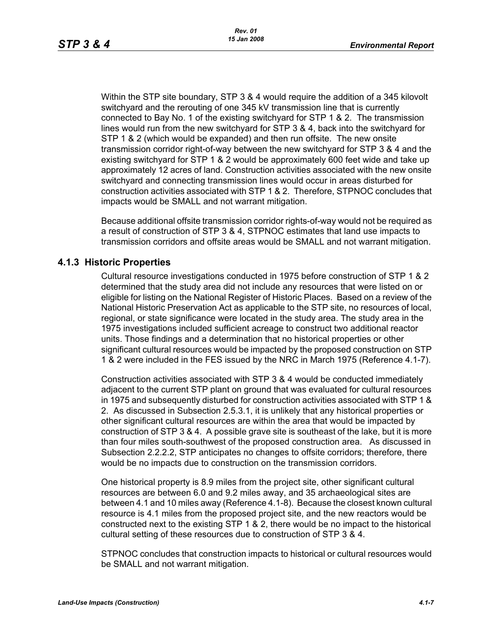Within the STP site boundary, STP 3 & 4 would require the addition of a 345 kilovolt switchyard and the rerouting of one 345 kV transmission line that is currently connected to Bay No. 1 of the existing switchyard for STP 1 & 2. The transmission lines would run from the new switchyard for STP 3 & 4, back into the switchyard for STP 1 & 2 (which would be expanded) and then run offsite. The new onsite transmission corridor right-of-way between the new switchyard for STP 3 & 4 and the existing switchyard for STP 1 & 2 would be approximately 600 feet wide and take up approximately 12 acres of land. Construction activities associated with the new onsite switchyard and connecting transmission lines would occur in areas disturbed for construction activities associated with STP 1 & 2. Therefore, STPNOC concludes that impacts would be SMALL and not warrant mitigation.

Because additional offsite transmission corridor rights-of-way would not be required as a result of construction of STP 3 & 4, STPNOC estimates that land use impacts to transmission corridors and offsite areas would be SMALL and not warrant mitigation.

# **4.1.3 Historic Properties**

Cultural resource investigations conducted in 1975 before construction of STP 1 & 2 determined that the study area did not include any resources that were listed on or eligible for listing on the National Register of Historic Places. Based on a review of the National Historic Preservation Act as applicable to the STP site, no resources of local, regional, or state significance were located in the study area. The study area in the 1975 investigations included sufficient acreage to construct two additional reactor units. Those findings and a determination that no historical properties or other significant cultural resources would be impacted by the proposed construction on STP 1 & 2 were included in the FES issued by the NRC in March 1975 (Reference 4.1-7).

Construction activities associated with STP 3 & 4 would be conducted immediately adjacent to the current STP plant on ground that was evaluated for cultural resources in 1975 and subsequently disturbed for construction activities associated with STP 1 & 2. As discussed in Subsection 2.5.3.1, it is unlikely that any historical properties or other significant cultural resources are within the area that would be impacted by construction of STP 3 & 4. A possible grave site is southeast of the lake, but it is more than four miles south-southwest of the proposed construction area. As discussed in Subsection 2.2.2.2, STP anticipates no changes to offsite corridors; therefore, there would be no impacts due to construction on the transmission corridors.

One historical property is 8.9 miles from the project site, other significant cultural resources are between 6.0 and 9.2 miles away, and 35 archaeological sites are between 4.1 and 10 miles away (Reference 4.1-8). Because the closest known cultural resource is 4.1 miles from the proposed project site, and the new reactors would be constructed next to the existing STP 1 & 2, there would be no impact to the historical cultural setting of these resources due to construction of STP 3 & 4.

STPNOC concludes that construction impacts to historical or cultural resources would be SMALL and not warrant mitigation.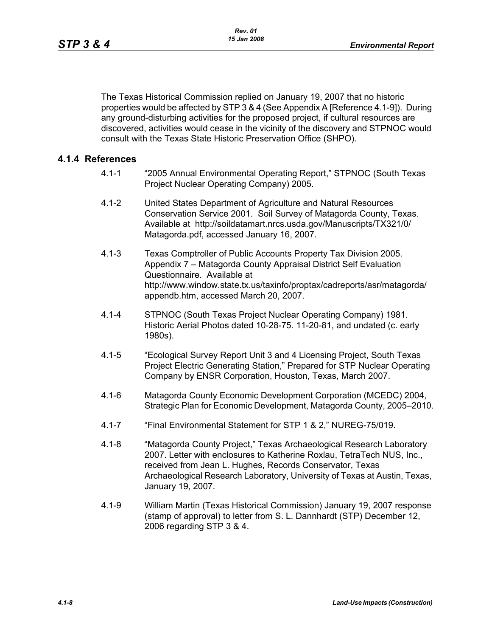The Texas Historical Commission replied on January 19, 2007 that no historic properties would be affected by STP 3 & 4 (See Appendix A [Reference 4.1-9]). During any ground-disturbing activities for the proposed project, if cultural resources are discovered, activities would cease in the vicinity of the discovery and STPNOC would consult with the Texas State Historic Preservation Office (SHPO).

## **4.1.4 References**

- 4.1-1 "2005 Annual Environmental Operating Report," STPNOC (South Texas Project Nuclear Operating Company) 2005.
- 4.1-2 United States Department of Agriculture and Natural Resources Conservation Service 2001. Soil Survey of Matagorda County, Texas. Available at http://soildatamart.nrcs.usda.gov/Manuscripts/TX321/0/ Matagorda.pdf, accessed January 16, 2007.
- 4.1-3 Texas Comptroller of Public Accounts Property Tax Division 2005. Appendix 7 – Matagorda County Appraisal District Self Evaluation Questionnaire. Available at http://www.window.state.tx.us/taxinfo/proptax/cadreports/asr/matagorda/ appendb.htm, accessed March 20, 2007.
- 4.1-4 STPNOC (South Texas Project Nuclear Operating Company) 1981. Historic Aerial Photos dated 10-28-75. 11-20-81, and undated (c. early 1980s).
- 4.1-5 "Ecological Survey Report Unit 3 and 4 Licensing Project, South Texas Project Electric Generating Station," Prepared for STP Nuclear Operating Company by ENSR Corporation, Houston, Texas, March 2007.
- 4.1-6 Matagorda County Economic Development Corporation (MCEDC) 2004, Strategic Plan for Economic Development, Matagorda County, 2005–2010.
- 4.1-7 "Final Environmental Statement for STP 1 & 2," NUREG-75/019.
- 4.1-8 "Matagorda County Project," Texas Archaeological Research Laboratory 2007. Letter with enclosures to Katherine Roxlau, TetraTech NUS, Inc., received from Jean L. Hughes, Records Conservator, Texas Archaeological Research Laboratory, University of Texas at Austin, Texas, January 19, 2007.
- 4.1-9 William Martin (Texas Historical Commission) January 19, 2007 response (stamp of approval) to letter from S. L. Dannhardt (STP) December 12, 2006 regarding STP 3 & 4.